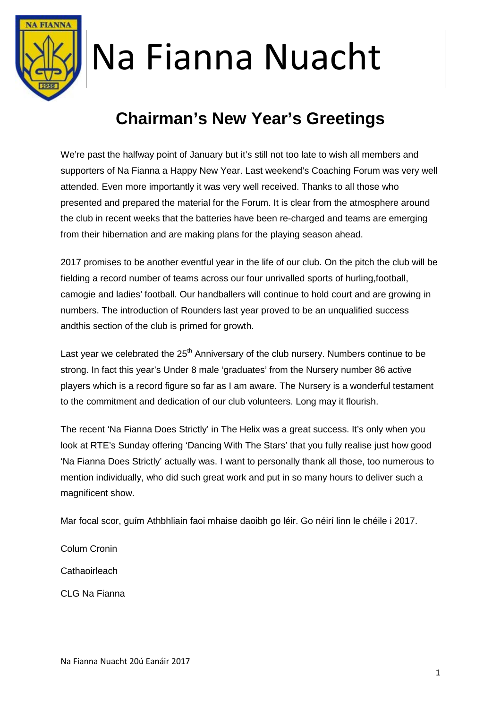

### **Chairman's New Year's Greetings**

We're past the halfway point of January but it's still not too late to wish all members and supporters of Na Fianna a Happy New Year. Last weekend's Coaching Forum was very well attended. Even more importantly it was very well received. Thanks to all those who presented and prepared the material for the Forum. It is clear from the atmosphere around the club in recent weeks that the batteries have been re-charged and teams are emerging from their hibernation and are making plans for the playing season ahead.

2017 promises to be another eventful year in the life of our club. On the pitch the club will be fielding a record number of teams across our four unrivalled sports of hurling,football, camogie and ladies' football. Our handballers will continue to hold court and are growing in numbers. The introduction of Rounders last year proved to be an unqualified success andthis section of the club is primed for growth.

Last year we celebrated the  $25<sup>th</sup>$  Anniversary of the club nursery. Numbers continue to be strong. In fact this year's Under 8 male 'graduates' from the Nursery number 86 active players which is a record figure so far as I am aware. The Nursery is a wonderful testament to the commitment and dedication of our club volunteers. Long may it flourish.

The recent 'Na Fianna Does Strictly' in The Helix was a great success. It's only when you look at RTE's Sunday offering 'Dancing With The Stars' that you fully realise just how good 'Na Fianna Does Strictly' actually was. I want to personally thank all those, too numerous to mention individually, who did such great work and put in so many hours to deliver such a magnificent show.

Mar focal scor, guím Athbhliain faoi mhaise daoibh go léir. Go néirí linn le chéile i 2017.

Colum Cronin **Cathaoirleach** CLG Na Fianna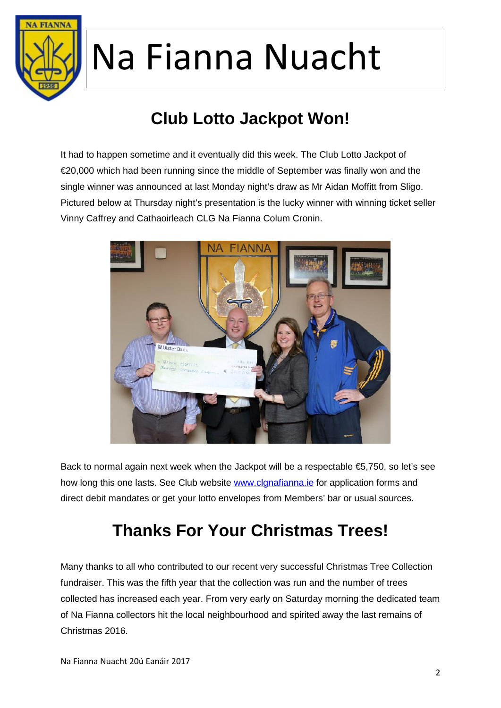

### **Club Lotto Jackpot Won!**

It had to happen sometime and it eventually did this week. The Club Lotto Jackpot of €20,000 which had been running since the middle of September was finally won and the single winner was announced at last Monday night's draw as Mr Aidan Moffitt from Sligo. Pictured below at Thursday night's presentation is the lucky winner with winning ticket seller Vinny Caffrey and Cathaoirleach CLG Na Fianna Colum Cronin.



Back to normal again next week when the Jackpot will be a respectable €5,750, so let's see how long this one lasts. See Club website www.clgnafianna.ie for application forms and direct debit mandates or get your lotto envelopes from Members' bar or usual sources.

### **Thanks For Your Christmas Trees!**

Many thanks to all who contributed to our recent very successful Christmas Tree Collection fundraiser. This was the fifth year that the collection was run and the number of trees collected has increased each year. From very early on Saturday morning the dedicated team of Na Fianna collectors hit the local neighbourhood and spirited away the last remains of Christmas 2016.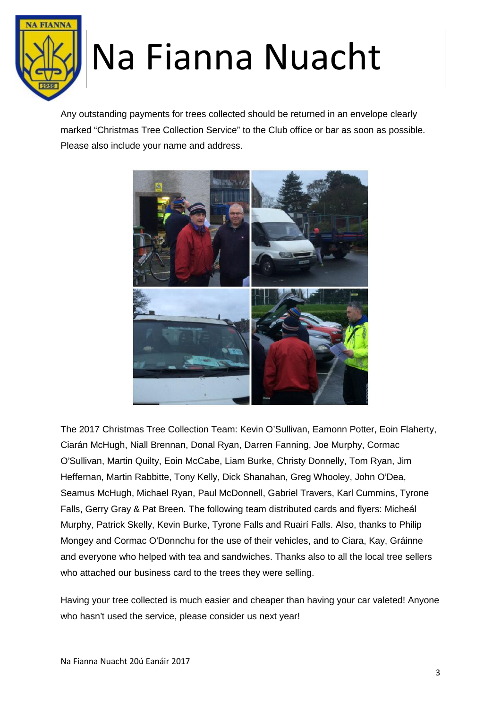

Any outstanding payments for trees collected should be returned in an envelope clearly marked "Christmas Tree Collection Service" to the Club office or bar as soon as possible. Please also include your name and address.



The 2017 Christmas Tree Collection Team: Kevin O'Sullivan, Eamonn Potter, Eoin Flaherty, Ciarán McHugh, Niall Brennan, Donal Ryan, Darren Fanning, Joe Murphy, Cormac O'Sullivan, Martin Quilty, Eoin McCabe, Liam Burke, Christy Donnelly, Tom Ryan, Jim Heffernan, Martin Rabbitte, Tony Kelly, Dick Shanahan, Greg Whooley, John O'Dea, Seamus McHugh, Michael Ryan, Paul McDonnell, Gabriel Travers, Karl Cummins, Tyrone Falls, Gerry Gray & Pat Breen. The following team distributed cards and flyers: Micheál Murphy, Patrick Skelly, Kevin Burke, Tyrone Falls and Ruairí Falls. Also, thanks to Philip Mongey and Cormac O'Donnchu for the use of their vehicles, and to Ciara, Kay, Gráinne and everyone who helped with tea and sandwiches. Thanks also to all the local tree sellers who attached our business card to the trees they were selling.

Having your tree collected is much easier and cheaper than having your car valeted! Anyone who hasn't used the service, please consider us next year!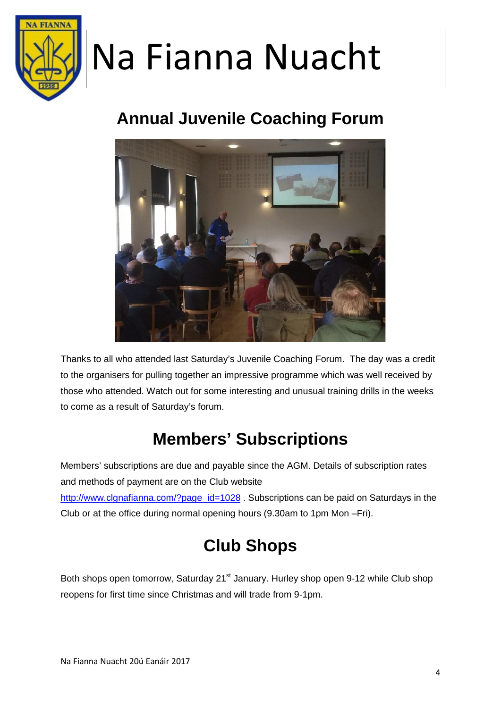

#### **Annual Juvenile Coaching Forum**



Thanks to all who attended last Saturday's Juvenile Coaching Forum. The day was a credit to the organisers for pulling together an impressive programme which was well received by those who attended. Watch out for some interesting and unusual training drills in the weeks to come as a result of Saturday's forum.

### **Members' Subscriptions**

Members' subscriptions are due and payable since the AGM. Details of subscription rates and methods of payment are on the Club website http://www.clgnafianna.com/?page\_id=1028 . Subscriptions can be paid on Saturdays in the Club or at the office during normal opening hours (9.30am to 1pm Mon –Fri).

#### **Club Shops**

Both shops open tomorrow, Saturday 21<sup>st</sup> January. Hurley shop open 9-12 while Club shop reopens for first time since Christmas and will trade from 9-1pm.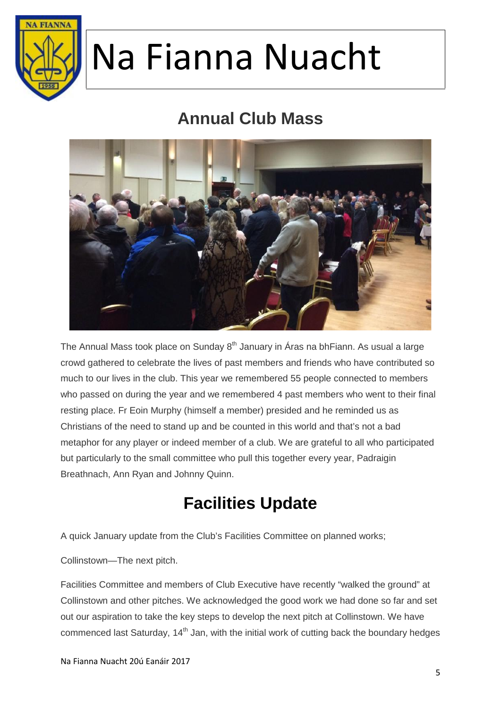

#### **Annual Club Mass**



The Annual Mass took place on Sunday  $8<sup>th</sup>$  January in Áras na bhFiann. As usual a large crowd gathered to celebrate the lives of past members and friends who have contributed so much to our lives in the club. This year we remembered 55 people connected to members who passed on during the year and we remembered 4 past members who went to their final resting place. Fr Eoin Murphy (himself a member) presided and he reminded us as Christians of the need to stand up and be counted in this world and that's not a bad metaphor for any player or indeed member of a club. We are grateful to all who participated but particularly to the small committee who pull this together every year, Padraigin Breathnach, Ann Ryan and Johnny Quinn.

#### **Facilities Update**

A quick January update from the Club's Facilities Committee on planned works;

Collinstown—The next pitch.

Facilities Committee and members of Club Executive have recently "walked the ground" at Collinstown and other pitches. We acknowledged the good work we had done so far and set out our aspiration to take the key steps to develop the next pitch at Collinstown. We have commenced last Saturday, 14<sup>th</sup> Jan, with the initial work of cutting back the boundary hedges

Na Fianna Nuacht 20ú Eanáir 2017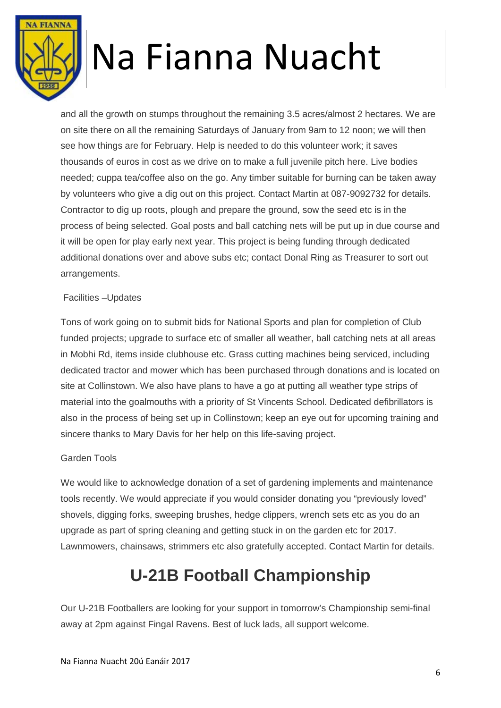

and all the growth on stumps throughout the remaining 3.5 acres/almost 2 hectares. We are on site there on all the remaining Saturdays of January from 9am to 12 noon; we will then see how things are for February. Help is needed to do this volunteer work; it saves thousands of euros in cost as we drive on to make a full juvenile pitch here. Live bodies needed; cuppa tea/coffee also on the go. Any timber suitable for burning can be taken away by volunteers who give a dig out on this project. Contact Martin at 087-9092732 for details. Contractor to dig up roots, plough and prepare the ground, sow the seed etc is in the process of being selected. Goal posts and ball catching nets will be put up in due course and it will be open for play early next year. This project is being funding through dedicated additional donations over and above subs etc; contact Donal Ring as Treasurer to sort out arrangements.

#### Facilities –Updates

Tons of work going on to submit bids for National Sports and plan for completion of Club funded projects; upgrade to surface etc of smaller all weather, ball catching nets at all areas in Mobhi Rd, items inside clubhouse etc. Grass cutting machines being serviced, including dedicated tractor and mower which has been purchased through donations and is located on site at Collinstown. We also have plans to have a go at putting all weather type strips of material into the goalmouths with a priority of St Vincents School. Dedicated defibrillators is also in the process of being set up in Collinstown; keep an eye out for upcoming training and sincere thanks to Mary Davis for her help on this life-saving project.

#### Garden Tools

We would like to acknowledge donation of a set of gardening implements and maintenance tools recently. We would appreciate if you would consider donating you "previously loved" shovels, digging forks, sweeping brushes, hedge clippers, wrench sets etc as you do an upgrade as part of spring cleaning and getting stuck in on the garden etc for 2017. Lawnmowers, chainsaws, strimmers etc also gratefully accepted. Contact Martin for details.

#### **U-21B Football Championship**

Our U-21B Footballers are looking for your support in tomorrow's Championship semi-final away at 2pm against Fingal Ravens. Best of luck lads, all support welcome.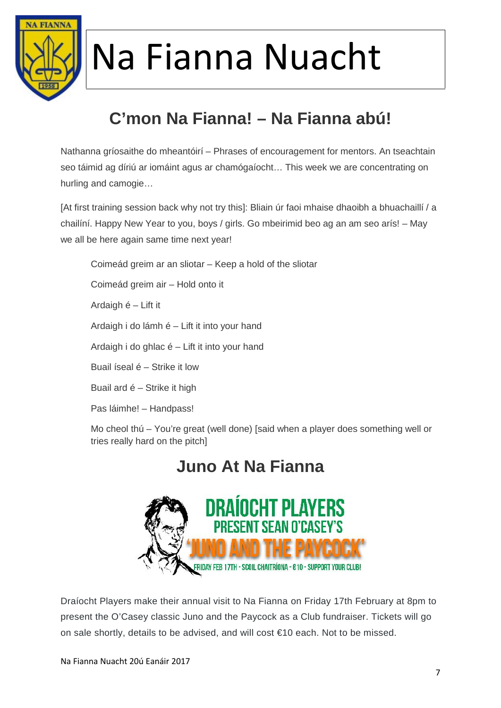

### **C'mon Na Fianna! – Na Fianna abú!**

Nathanna gríosaithe do mheantóirí – Phrases of encouragement for mentors. An tseachtain seo táimid ag díriú ar iomáint agus ar chamógaíocht… This week we are concentrating on hurling and camogie…

[At first training session back why not try this]: Bliain úr faoi mhaise dhaoibh a bhuachaillí / a chailíní. Happy New Year to you, boys / girls. Go mbeirimid beo ag an am seo arís! – May we all be here again same time next year!

Coimeád greim ar an sliotar – Keep a hold of the sliotar

Coimeád greim air – Hold onto it

Ardaigh é – Lift it

Ardaigh i do lámh é – Lift it into your hand

Ardaigh i do ghlac é – Lift it into your hand

Buail íseal é – Strike it low

Buail ard é – Strike it high

Pas láimhe! – Handpass!

Mo cheol thú – You're great (well done) [said when a player does something well or tries really hard on the pitch]

#### **Juno At Na Fianna**



Draíocht Players make their annual visit to Na Fianna on Friday 17th February at 8pm to present the O'Casey classic Juno and the Paycock as a Club fundraiser. Tickets will go on sale shortly, details to be advised, and will cost €10 each. Not to be missed.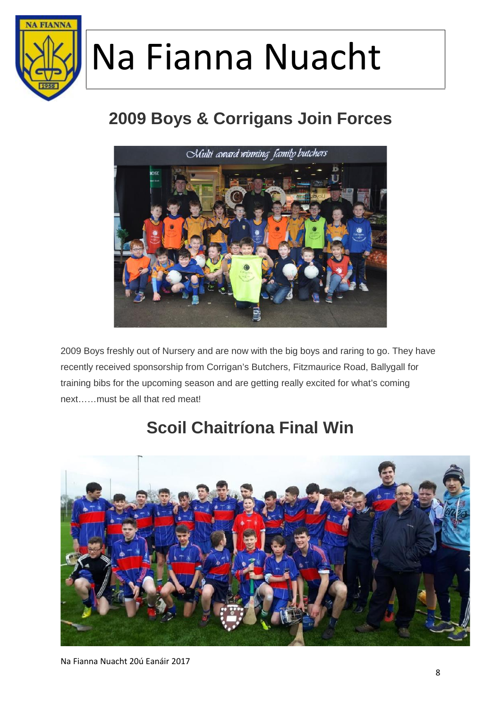

### **2009 Boys & Corrigans Join Forces**



2009 Boys freshly out of Nursery and are now with the big boys and raring to go. They have recently received sponsorship from Corrigan's Butchers, Fitzmaurice Road, Ballygall for training bibs for the upcoming season and are getting really excited for what's coming next……must be all that red meat!

### **Scoil Chaitríona Final Win**

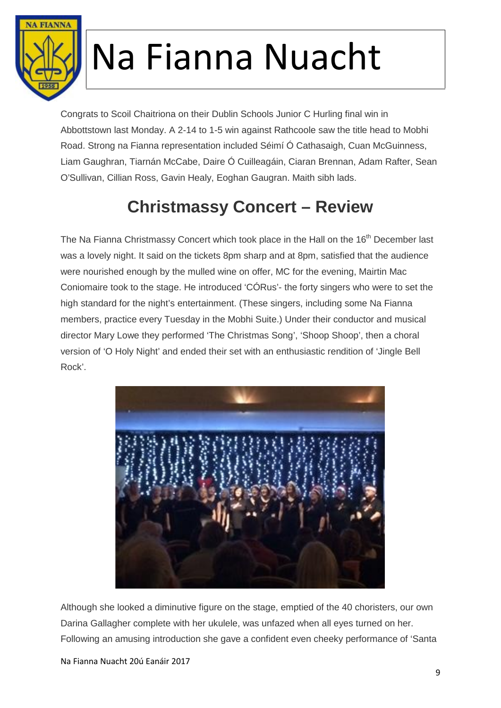

Congrats to Scoil Chaitriona on their Dublin Schools Junior C Hurling final win in Abbottstown last Monday. A 2-14 to 1-5 win against Rathcoole saw the title head to Mobhi Road. Strong na Fianna representation included Séimí Ó Cathasaigh, Cuan McGuinness, Liam Gaughran, Tiarnán McCabe, Daire Ó Cuilleagáin, Ciaran Brennan, Adam Rafter, Sean O'Sullivan, Cillian Ross, Gavin Healy, Eoghan Gaugran. Maith sibh lads.

### **Christmassy Concert – Review**

The Na Fianna Christmassy Concert which took place in the Hall on the 16<sup>th</sup> December last was a lovely night. It said on the tickets 8pm sharp and at 8pm, satisfied that the audience were nourished enough by the mulled wine on offer, MC for the evening, Mairtin Mac Coniomaire took to the stage. He introduced 'CÓRus'- the forty singers who were to set the high standard for the night's entertainment. (These singers, including some Na Fianna members, practice every Tuesday in the Mobhi Suite.) Under their conductor and musical director Mary Lowe they performed 'The Christmas Song', 'Shoop Shoop', then a choral version of 'O Holy Night' and ended their set with an enthusiastic rendition of 'Jingle Bell Rock'.



Although she looked a diminutive figure on the stage, emptied of the 40 choristers, our own Darina Gallagher complete with her ukulele, was unfazed when all eyes turned on her. Following an amusing introduction she gave a confident even cheeky performance of 'Santa

Na Fianna Nuacht 20ú Eanáir 2017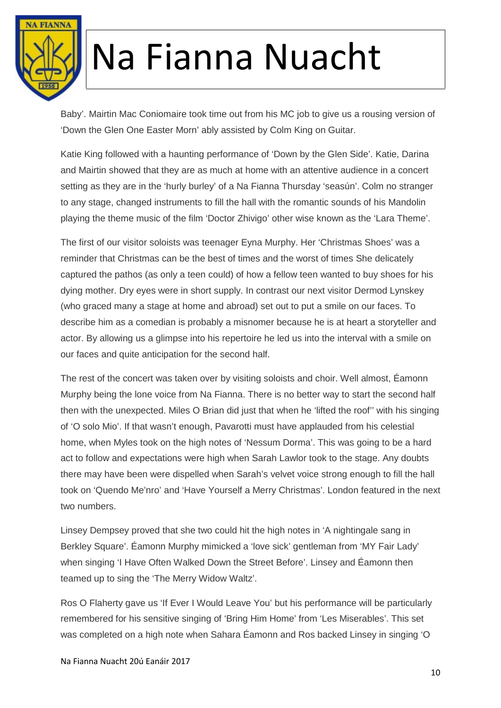

Baby'. Mairtin Mac Coniomaire took time out from his MC job to give us a rousing version of 'Down the Glen One Easter Morn' ably assisted by Colm King on Guitar.

Katie King followed with a haunting performance of 'Down by the Glen Side'. Katie, Darina and Mairtin showed that they are as much at home with an attentive audience in a concert setting as they are in the 'hurly burley' of a Na Fianna Thursday 'seasún'. Colm no stranger to any stage, changed instruments to fill the hall with the romantic sounds of his Mandolin playing the theme music of the film 'Doctor Zhivigo' other wise known as the 'Lara Theme'.

The first of our visitor soloists was teenager Eyna Murphy. Her 'Christmas Shoes' was a reminder that Christmas can be the best of times and the worst of times She delicately captured the pathos (as only a teen could) of how a fellow teen wanted to buy shoes for his dying mother. Dry eyes were in short supply. In contrast our next visitor Dermod Lynskey (who graced many a stage at home and abroad) set out to put a smile on our faces. To describe him as a comedian is probably a misnomer because he is at heart a storyteller and actor. By allowing us a glimpse into his repertoire he led us into the interval with a smile on our faces and quite anticipation for the second half.

The rest of the concert was taken over by visiting soloists and choir. Well almost, Éamonn Murphy being the lone voice from Na Fianna. There is no better way to start the second half then with the unexpected. Miles O Brian did just that when he 'lifted the roof'' with his singing of 'O solo Mio'. If that wasn't enough, Pavarotti must have applauded from his celestial home, when Myles took on the high notes of 'Nessum Dorma'. This was going to be a hard act to follow and expectations were high when Sarah Lawlor took to the stage. Any doubts there may have been were dispelled when Sarah's velvet voice strong enough to fill the hall took on 'Quendo Me'nro' and 'Have Yourself a Merry Christmas'. London featured in the next two numbers.

Linsey Dempsey proved that she two could hit the high notes in 'A nightingale sang in Berkley Square'. Éamonn Murphy mimicked a 'love sick' gentleman from 'MY Fair Lady' when singing 'I Have Often Walked Down the Street Before'. Linsey and Éamonn then teamed up to sing the 'The Merry Widow Waltz'.

Ros O Flaherty gave us 'If Ever I Would Leave You' but his performance will be particularly remembered for his sensitive singing of 'Bring Him Home' from 'Les Miserables'. This set was completed on a high note when Sahara Éamonn and Ros backed Linsey in singing 'O